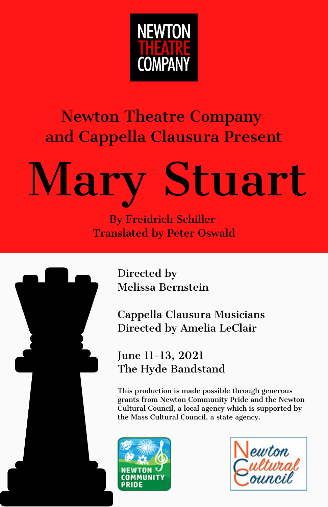

#### Newton Theatre Company and Cappella Clausura Present

# Mary Stuart

By Freidrich Schiller Translated by Peter Oswald



Directed by Melissa Bernstein

Cappella Clausura Musicians Directed by Amelia LeClair

June 11-13, 2021 The Hyde Bandstand

This production is made possible through generous grants from Newton Community Pride and the Newton Cultural Council, a local agency which is supported by the Mass Cultural Council, a state agency.



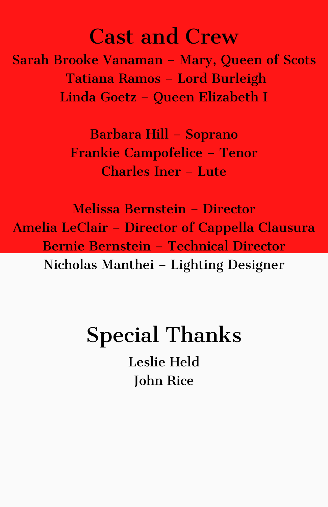#### Cast and Crew

Sarah Brooke Vanaman – Mary, Queen of Scots Tatiana Ramos – Lord Burleigh Linda Goetz – Queen Elizabeth I

> Barbara Hill – Soprano Frankie Campofelice – Tenor Charles Iner – Lute

Melissa Bernstein – Director Amelia LeClair – Director of Cappella Clausura Bernie Bernstein – Technical Director Nicholas Manthei – Lighting Designer

# Special Thanks Leslie Held

John Rice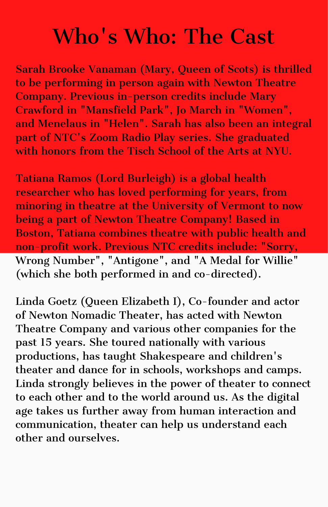## Who's Who: The Cast

Sarah Brooke Vanaman (Mary, Queen of Scots) is thrilled to be performing in person again with Newton Theatre Company. Previous in-person credits include Mary Crawford in "Mansfield Park", Jo March in "Women", and Menelaus in "Helen". Sarah has also been an integral part of NTC's Zoom Radio Play series. She graduated with honors from the Tisch School of the Arts at NYU.

Tatiana Ramos (Lord Burleigh) is a global health researcher who has loved performing for years, from minoring in theatre at the University of Vermont to now being a part of Newton Theatre Company! Based in Boston, Tatiana combines theatre with public health and non-profit work. Previous NTC credits include: "Sorry, Wrong Number", "Antigone", and "A Medal for Willie" (which she both performed in and co-directed).

Linda Goetz (Queen Elizabeth I), Co-founder and actor of Newton Nomadic Theater, has acted with Newton Theatre Company and various other companies for the past 15 years. She toured nationally with various productions, has taught Shakespeare and children's theater and dance for in schools, workshops and camps. Linda strongly believes in the power of theater to connect to each other and to the world around us. As the digital age takes us further away from human interaction and communication, theater can help us understand each other and ourselves.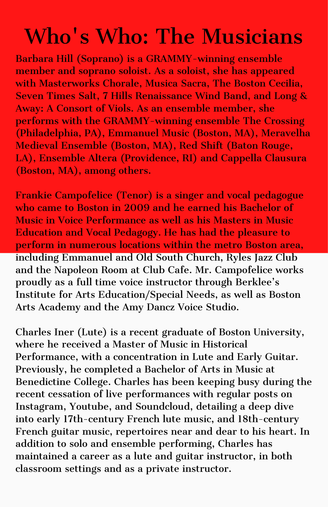## Who's Who: The Musicians

Barbara Hill (Soprano) is a GRAMMY-winning ensemble member and soprano soloist. As a soloist, she has appeared with Masterworks Chorale, Musica Sacra, The Boston Cecilia, Seven Times Salt, 7 Hills Renaissance Wind Band, and Long & Away: A Consort of Viols. As an ensemble member, she performs with the GRAMMY-winning ensemble The Crossing (Philadelphia, PA), Emmanuel Music (Boston, MA), Meravelha Medieval Ensemble (Boston, MA), Red Shift (Baton Rouge, LA), Ensemble Altera (Providence, RI) and Cappella Clausura (Boston, MA), among others.

Frankie Campofelice (Tenor) is a singer and vocal pedagogue who came to Boston in 2009 and he earned his Bachelor of Music in Voice Performance as well as his Masters in Music Education and Vocal Pedagogy. He has had the pleasure to perform in numerous locations within the metro Boston area, including Emmanuel and Old South Church, Ryles Jazz Club and the Napoleon Room at Club Cafe. Mr. Campofelice works proudly as a full time voice instructor through Berklee's Institute for Arts Education/Special Needs, as well as Boston Arts Academy and the Amy Dancz Voice Studio.

Charles Iner (Lute) is a recent graduate of Boston University, where he received a Master of Music in Historical Performance, with a concentration in Lute and Early Guitar. Previously, he completed a Bachelor of Arts in Music at Benedictine College. Charles has been keeping busy during the recent cessation of live performances with regular posts on Instagram, Youtube, and Soundcloud, detailing a deep dive into early 17th-century French lute music, and 18th-century French guitar music, repertoires near and dear to his heart. In addition to solo and ensemble performing, Charles has maintained a career as a lute and guitar instructor, in both classroom settings and as a private instructor.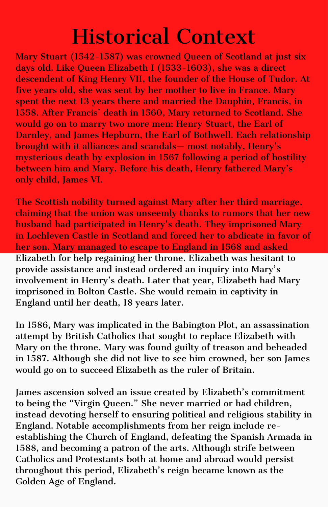### Historical Context

Mary Stuart (1542-1587) was crowned Queen of Scotland at just six days old. Like Queen Elizabeth I (1533-1603), she was a direct descendent of King Henry VII, the founder of the House of Tudor. At five years old, she was sent by her mother to live in France. Mary spent the next 13 years there and married the Dauphin, Francis, in 1558. After Francis' death in 1560, Mary returned to Scotland. She would go on to marry two more men: Henry Stuart, the Earl of Darnley, and James Hepburn, the Earl of Bothwell. Each relationship brought with it alliances and scandals— most notably, Henry's mysterious death by explosion in 1567 following a period of hostility between him and Mary. Before his death, Henry fathered Mary's only child, James VI.

The Scottish nobility turned against Mary after her third marriage, claiming that the union was unseemly thanks to rumors that her new husband had participated in Henry's death. They imprisoned Mary in Lochleven Castle in Scotland and forced her to abdicate in favor of her son. Mary managed to escape to England in 1568 and asked Elizabeth for help regaining her throne. Elizabeth was hesitant to provide assistance and instead ordered an inquiry into Mary's involvement in Henry's death. Later that year, Elizabeth had Mary imprisoned in Bolton Castle. She would remain in captivity in England until her death, 18 years later.

In 1586, Mary was implicated in the Babington Plot, an assassination attempt by British Catholics that sought to replace Elizabeth with Mary on the throne. Mary was found guilty of treason and beheaded in 1587. Although she did not live to see him crowned, her son James would go on to succeed Elizabeth as the ruler of Britain.

James ascension solved an issue created by Elizabeth's commitment to being the "Virgin Queen." She never married or had children, instead devoting herself to ensuring political and religious stability in England. Notable accomplishments from her reign include reestablishing the Church of England, defeating the Spanish Armada in 1588, and becoming a patron of the arts. Although strife between Catholics and Protestants both at home and abroad would persist throughout this period, Elizabeth's reign became known as the Golden Age of England.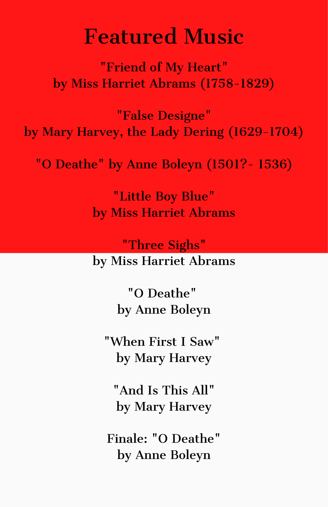#### Featured Music

"Friend of My Heart" by Miss Harriet Abrams (1758-1829)

"False Designe" by Mary Harvey, the Lady Dering (1629-1704)

"O Deathe" by Anne Boleyn (1501?- 1536)

"Little Boy Blue" by Miss Harriet Abrams

"Three Sighs"

by Miss Harriet Abrams

"O Deathe" by Anne Boleyn

"When First I Saw" by Mary Harvey

"And Is This All" by Mary Harvey

Finale: "O Deathe" by Anne Boleyn